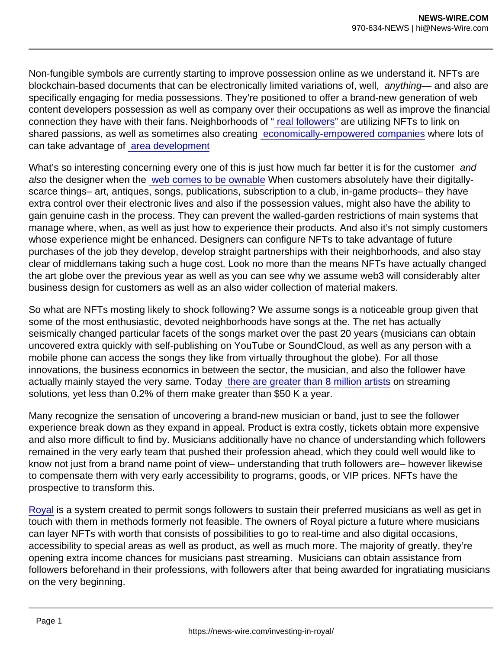Non-fungible symbols are currently starting to improve possession online as we understand it. NFTs are blockchain-based documents that can be electronically limited variations of, well, anything— and also are specifically engaging for media possessions. They're positioned to offer a brand-new generation of web content developers possession as well as company over their occupations as well as improve the financial connection they have with their fans. Neighborhoods of [" real followers](https://future.a16z.com/nfts-thousand-true-fans/)" are utilizing NFTs to link on shared passions, as well as sometimes also creating [economically-empowered companies](https://boredapeyachtclub.com/#/) where lots of can take advantage of [area development](https://a16z.com/2021/10/27/investing-in-friends-with-benefits-a-dao/)

What's so interesting concerning every one of this is just how much far better it is for the customer and also the designer when the [web comes to be ownable](https://variant.mirror.xyz/T8kdtZRIgy_srXB5B06L8vBqFHYlEBcv6ae2zR6Y_eo) When customers absolutely have their digitallyscarce things– art, antiques, songs, publications, subscription to a club, in-game products– they have extra control over their electronic lives and also if the possession values, might also have the ability to gain genuine cash in the process. They can prevent the walled-garden restrictions of main systems that manage where, when, as well as just how to experience their products. And also it's not simply customers whose experience might be enhanced. Designers can configure NFTs to take advantage of future purchases of the job they develop, develop straight partnerships with their neighborhoods, and also stay clear of middlemans taking such a huge cost. Look no more than the means NFTs have actually changed the art globe over the previous year as well as you can see why we assume web3 will considerably alter business design for customers as well as an also wider collection of material makers.

So what are NFTs mosting likely to shock following? We assume songs is a noticeable group given that some of the most enthusiastic, devoted neighborhoods have songs at the. The net has actually seismically changed particular facets of the songs market over the past 20 years (musicians can obtain uncovered extra quickly with self-publishing on YouTube or SoundCloud, as well as any person with a mobile phone can access the songs they like from virtually throughout the globe). For all those innovations, the business economics in between the sector, the musician, and also the follower have actually mainly stayed the very same. Today [there are greater than 8 million artists](https://twitter.com/cdixon/status/1425645849829253120) on streaming solutions, yet less than 0.2% of them make greater than \$50 K a year.

Many recognize the sensation of uncovering a brand-new musician or band, just to see the follower experience break down as they expand in appeal. Product is extra costly, tickets obtain more expensive and also more difficult to find by. Musicians additionally have no chance of understanding which followers remained in the very early team that pushed their profession ahead, which they could well would like to know not just from a brand name point of view– understanding that truth followers are– however likewise to compensate them with very early accessibility to programs, goods, or VIP prices. NFTs have the prospective to transform this.

[Royal](https://royal.io/) is a system created to permit songs followers to sustain their preferred musicians as well as get in touch with them in methods formerly not feasible. The owners of Royal picture a future where musicians can layer NFTs with worth that consists of possibilities to go to real-time and also digital occasions, accessibility to special areas as well as product, as well as much more. The majority of greatly, they're opening extra income chances for musicians past streaming. Musicians can obtain assistance from followers beforehand in their professions, with followers after that being awarded for ingratiating musicians on the very beginning.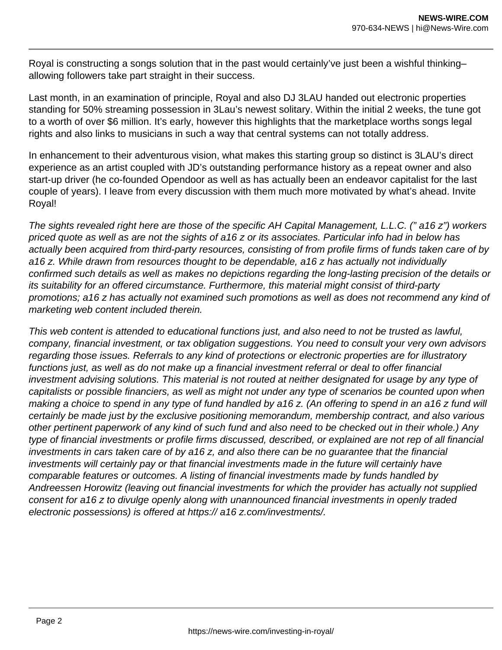Royal is constructing a songs solution that in the past would certainly've just been a wishful thinking– allowing followers take part straight in their success.

Last month, in an examination of principle, Royal and also DJ 3LAU handed out electronic properties standing for 50% streaming possession in 3Lau's newest solitary. Within the initial 2 weeks, the tune got to a worth of over \$6 million. It's early, however this highlights that the marketplace worths songs legal rights and also links to musicians in such a way that central systems can not totally address.

In enhancement to their adventurous vision, what makes this starting group so distinct is 3LAU's direct experience as an artist coupled with JD's outstanding performance history as a repeat owner and also start-up driver (he co-founded Opendoor as well as has actually been an endeavor capitalist for the last couple of years). I leave from every discussion with them much more motivated by what's ahead. Invite Royal!

The sights revealed right here are those of the specific AH Capital Management, L.L.C. (" a16 z") workers priced quote as well as are not the sights of a16 z or its associates. Particular info had in below has actually been acquired from third-party resources, consisting of from profile firms of funds taken care of by a16 z. While drawn from resources thought to be dependable, a16 z has actually not individually confirmed such details as well as makes no depictions regarding the long-lasting precision of the details or its suitability for an offered circumstance. Furthermore, this material might consist of third-party promotions; a16 z has actually not examined such promotions as well as does not recommend any kind of marketing web content included therein.

This web content is attended to educational functions just, and also need to not be trusted as lawful, company, financial investment, or tax obligation suggestions. You need to consult your very own advisors regarding those issues. Referrals to any kind of protections or electronic properties are for illustratory functions just, as well as do not make up a financial investment referral or deal to offer financial investment advising solutions. This material is not routed at neither designated for usage by any type of capitalists or possible financiers, as well as might not under any type of scenarios be counted upon when making a choice to spend in any type of fund handled by a16 z. (An offering to spend in an a16 z fund will certainly be made just by the exclusive positioning memorandum, membership contract, and also various other pertinent paperwork of any kind of such fund and also need to be checked out in their whole.) Any type of financial investments or profile firms discussed, described, or explained are not rep of all financial investments in cars taken care of by a16 z, and also there can be no guarantee that the financial investments will certainly pay or that financial investments made in the future will certainly have comparable features or outcomes. A listing of financial investments made by funds handled by Andreessen Horowitz (leaving out financial investments for which the provider has actually not supplied consent for a16 z to divulge openly along with unannounced financial investments in openly traded electronic possessions) is offered at https:// a16 z.com/investments/.